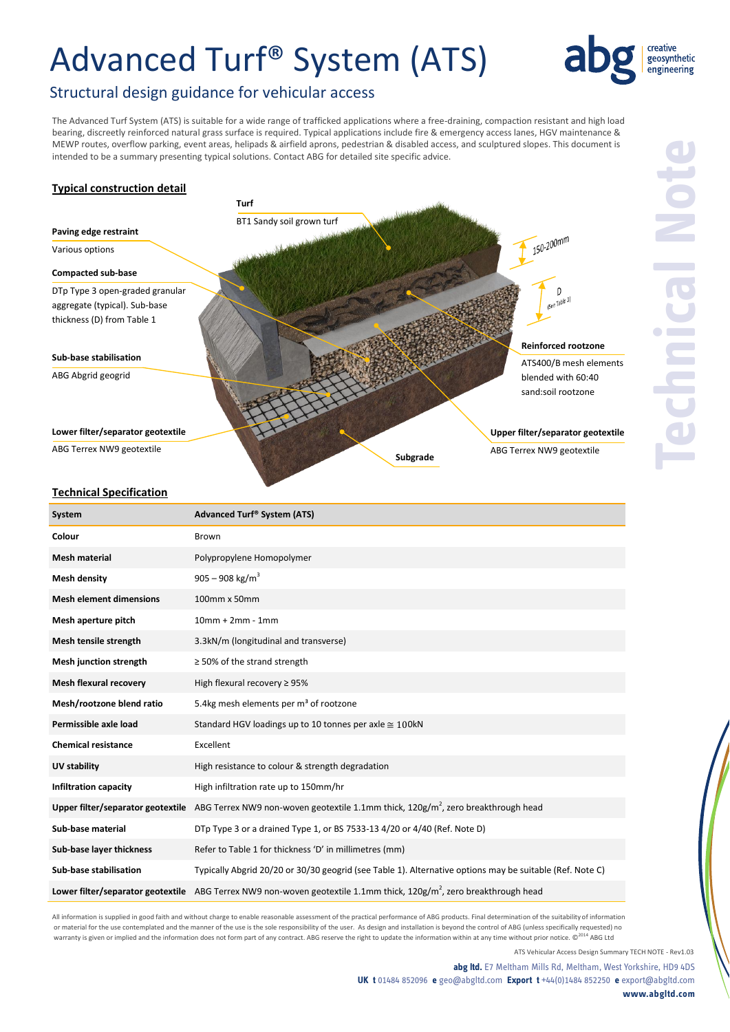## Advanced Turf® System (ATS)



### Structural design guidance for vehicular access

The Advanced Turf System (ATS) is suitable for a wide range of trafficked applications where a free-draining, compaction resistant and high load bearing, discreetly reinforced natural grass surface is required. Typical applications include fire & emergency access lanes, HGV maintenance & MEWP routes, overflow parking, event areas, helipads & airfield aprons, pedestrian & disabled access, and sculptured slopes. This document is intended to be a summary presenting typical solutions. Contact ABG for detailed site specific advice.

### **Typical construction detail**



### **Technical Specification**

| System                            | Advanced Turf® System (ATS)                                                                                                     |
|-----------------------------------|---------------------------------------------------------------------------------------------------------------------------------|
| Colour                            | <b>Brown</b>                                                                                                                    |
| <b>Mesh material</b>              | Polypropylene Homopolymer                                                                                                       |
| <b>Mesh density</b>               | 905 – 908 kg/m <sup>3</sup>                                                                                                     |
| <b>Mesh element dimensions</b>    | 100mm x 50mm                                                                                                                    |
| Mesh aperture pitch               | $10mm + 2mm - 1mm$                                                                                                              |
| Mesh tensile strength             | 3.3kN/m (longitudinal and transverse)                                                                                           |
| <b>Mesh junction strength</b>     | $\geq$ 50% of the strand strength                                                                                               |
| <b>Mesh flexural recovery</b>     | High flexural recovery $\geq$ 95%                                                                                               |
| Mesh/rootzone blend ratio         | 5.4kg mesh elements per m <sup>3</sup> of rootzone                                                                              |
| Permissible axle load             | Standard HGV loadings up to 10 tonnes per axle $\approx$ 100kN                                                                  |
| <b>Chemical resistance</b>        | Excellent                                                                                                                       |
| <b>UV stability</b>               | High resistance to colour & strength degradation                                                                                |
| <b>Infiltration capacity</b>      | High infiltration rate up to 150mm/hr                                                                                           |
|                                   | Upper filter/separator geotextile ABG Terrex NW9 non-woven geotextile 1.1mm thick, 120g/m <sup>2</sup> , zero breakthrough head |
| Sub-base material                 | DTp Type 3 or a drained Type 1, or BS 7533-13 4/20 or 4/40 (Ref. Note D)                                                        |
| Sub-base layer thickness          | Refer to Table 1 for thickness 'D' in millimetres (mm)                                                                          |
| Sub-base stabilisation            | Typically Abgrid 20/20 or 30/30 geogrid (see Table 1). Alternative options may be suitable (Ref. Note C)                        |
| Lower filter/separator geotextile | ABG Terrex NW9 non-woven geotextile 1.1mm thick, 120g/m <sup>2</sup> , zero breakthrough head                                   |

All information is supplied in good faith and without charge to enable reasonable assessment of the practical performance of ABG products. Final determination of the suitability of information or material for the use contemplated and the manner of the use is the sole responsibility of the user. As design and installation is beyond the control of ABG (unless specifically requested) no warranty is given or implied and the information does not form part of any contract. ABG reserve the right to update the information within at any time without prior notice. ©<sup>2014</sup> ABG Ltd